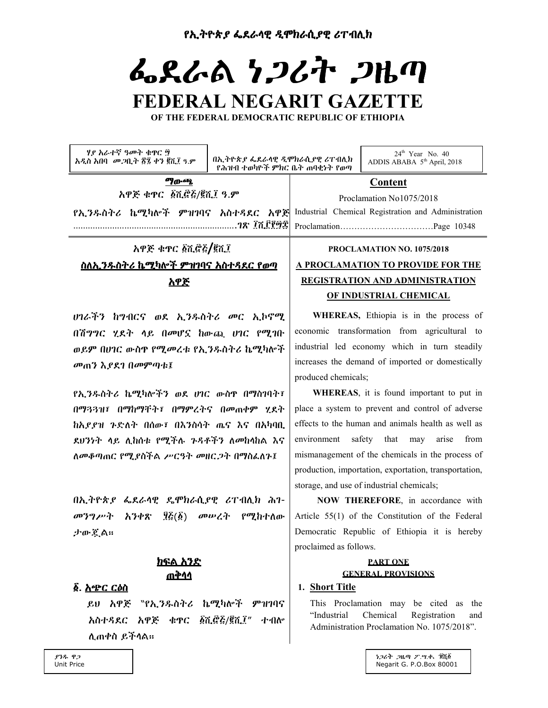የኢትዮጵያ ፌደራሳዊ ዲሞክራሲያዊ ሪፐብሊክ

# ふえんぬ とっとみ っしの FEDERAL NEGARIT GAZETTE

OF THE FEDERAL DEMOCRATIC REPUBLIC OF ETHIOPIA

| ሃያ አራተኛ ዓመት ቁዋር ፵<br>አዲስ አበባ መጋቢት ፳፯ ቀን ፪ሺ፲ ዓ.ም                     | $24th$ Year No. 40<br>በኢትዮጵያ ፌደራሳዊ ዲሞክራሲያዊ ሪፐብሊክ<br>ADDIS ABABA 5 <sup>th</sup> April, 2018<br>የሕዝብ ተወካዮች ምክር ቤት ጠባቂነት የወጣ |
|---------------------------------------------------------------------|----------------------------------------------------------------------------------------------------------------------------|
| ማውጫ                                                                 | <b>Content</b>                                                                                                             |
| አዋጅ ቁዋር ፩ሺሮ፭/፪ሺ፲ ዓ.ም                                                | Proclamation No1075/2018                                                                                                   |
| የኢንዱስትሪ ኬሚካሎች ምዝገባና አስተዳደር አዋጅ                                      | Industrial Chemical Registration and Administration                                                                        |
|                                                                     |                                                                                                                            |
| አዋጅ ቁዋር ፩ሺሮ፭/፪ሺ፲                                                    | PROCLAMATION NO. 1075/2018                                                                                                 |
| <u>ስለኢንዱስትሪ ኬሚካሎች ምዝገባና አስተዳደር የወጣ</u>                              | <b>A PROCLAMATION TO PROVIDE FOR THE</b>                                                                                   |
| <u>አዋጅ</u>                                                          | REGISTRATION AND ADMINISTRATION                                                                                            |
|                                                                     | OF INDUSTRIAL CHEMICAL                                                                                                     |
| <i>ህገራችን ከግብርና ወደ ኢንዱስትሪ መር ኢኮኖሚ</i>                                | WHEREAS, Ethiopia is in the process of                                                                                     |
| በሽግግር ሂደት ላይ በመሆኗ ከውጪ ሀገር የሚገቡ                                      | economic transformation from agricultural to                                                                               |
| ወይም በሀገር ውስዋ የሚመረቱ የኢንዱስትሪ ኬሚካሎች                                    | industrial led economy which in turn steadily                                                                              |
| መጠን እያደገ በመምጣቱ፤                                                     | increases the demand of imported or domestically                                                                           |
|                                                                     | produced chemicals;                                                                                                        |
| የኢንዱስትሪ ኬሚካሎችን ወደ ሀገር ውስዋ በማስገባት፣                                   | WHEREAS, it is found important to put in                                                                                   |
| በማጓጓዝ፤ በማከማቸት፤ በማምረትና በመጠቀም ሂደት                                     | place a system to prevent and control of adverse                                                                           |
| ከአያያዝ ጉድለት በሰው፤ በእንስሳት ጤና እና በአካባቢ                                  | effects to the human and animals health as well as                                                                         |
| ደሀንነት ላይ ሊከሰቱ የሚችሉ ጉዳቶችን ለመከላከል እና                                  | safety<br>from<br>environment<br>that<br>may<br>arise                                                                      |
| ለመቆጣጠር የሚያስችል ሥርዓት መዘር <i>ጋ</i> ት በማስፌለጉ፤                           | mismanagement of the chemicals in the process of                                                                           |
|                                                                     | production, importation, exportation, transportation,                                                                      |
|                                                                     | storage, and use of industrial chemicals;                                                                                  |
| በኢትዮጵያ ፌደራሳዊ ዴሞክራሲያዊ ሪፐብሊክ ሕገ-                                      | NOW THEREFORE, in accordance with                                                                                          |
| $\mathcal{H}(\vec{\Delta})$<br>መንግሥት<br>አንቀጽ<br><i>መሡረት የሚከተለ</i> ው | Article 55(1) of the Constitution of the Federal                                                                           |
| ታውጀል።                                                               | Democratic Republic of Ethiopia it is hereby                                                                               |
|                                                                     | proclaimed as follows.                                                                                                     |
| <u>ክፍል አንድ</u>                                                      | <b>PART ONE</b>                                                                                                            |
| <u>ጠቅሳሳ</u>                                                         | <b>GENERAL PROVISIONS</b>                                                                                                  |
| <u> ፩. አጭር ርዕስ</u>                                                  | 1. Short Title                                                                                                             |
| ይሀ አዋጅ "የኢንዱስትሪ ኬሚካሎች ምዝገባና                                         | This Proclamation may be cited as<br>the                                                                                   |
| አስተዳደር አዋጅ ቁዋር ፩ሺ፸፭/፪ሺ፲"                                            | "Industrial<br>Chemical<br>Registration<br>and<br>ተብሎ<br>Administration Proclamation No. 1075/2018".                       |
| ሊጠቀስ ይችላል።                                                          |                                                                                                                            |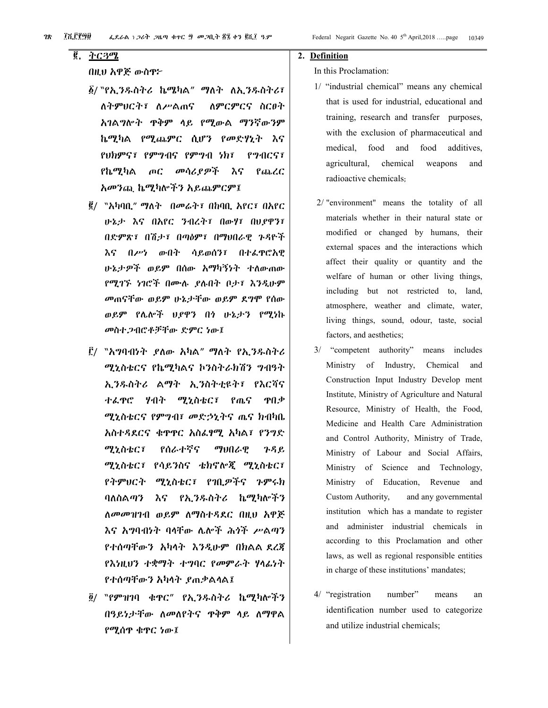# $\overline{6}$ . ትርጓሜ

# በዚህ አዋጅ ውስዋ፦

- ፩/ ``የኢንዱስትሪ ኬሜካል" ማለት ለኢንዱስትሪ፣ ለምርምርና ስር $\theta$ ት ለትምሀርት፣ ለሥልጠና አገልግሎት ዋቅም ላይ የሚውል ማንኛውንም ኬሚካል የሚጨምር ሲሆን የመድሃኒት እና የህክምና፣ የምግብና የምግብ ነክ፣ PIACST የኬሚካል  $\overline{C}$ መሳሪያዎች እና የጨረር አመንጪ ኬሚካሎችን አይጨምርም፤
- ፪/ "አካባቢ" ማለት በመሬት፣ በከባቢ አየር፣ በአየር ሁኔታ እና በአየር ንብረት፣ በውሃ፣ በህያዋን፣ በድምጽ፣ በሽታ፣ በጣዕም፣ በማህበራዊ ጉዳዮች እና በሥነ ውበት ሳይወሰን፣ በተፈዋሮእዊ ሁኔታዎች ወይም በሰው አማካኝነት ተለውጠው የሚገኙ ነገሮች በሙሉ ደሉበት ቦታ፣ እንዲሁም መጠናቸው ወይም ሁኔታቸው ወይም ደግሞ የሰው ወይም የሌሎች ህያዋን በጎ ሁኔታን የሚነኩ መስተ ጋብሮቶቻቸው ድምር ነው፤
- ፫/ "አግባብነት ያለው አካል" ማለት የኢ*ንዱ*ስትሪ ሚኒስቴርና የኬሚካልና ኮንስትራክሽን ግብዓት ኢንዱስትሪ ልማት ኢንስትቲዩት፣ የእርሻና ተፌዋሮ ሃብት ሚኒስቴር፣ የጤና ዋበቃ ሚኒስቴርና የምግብ፣ መድኃኒትና ጤና ክብካቤ አስተዳደርና ቁዋዋር አስፌፃሚ አካል፣ የንግድ ሚኒስቴር፣ የሰራተኛና ማህበራዎ  $P, P, P, P$ ሚኒስቴር፣ የሳይንስና ቴክኖሎጂ ሚኒስቴር፣ የትምሀርት ሚኒስቴር፣ የባቢዎችና ጉምሩክ ባለስልጣን እና የኢንዱስትሪ ኬሚካሎችን ለመመዝገብ ወይም ለማስተዳደር በዚህ አዋጅ እና አግባብነት ባላቸው ሌሎች ሕጎች ሥልጣን የተሰጣቸውን አካላት እንዲሁም በክልል ደረጃ የእነዚህን ተቋማት ተግባር የመምራት ሃላፊነት የተሰጣቸውን አካላት ያጠቃልላል፤
- ፬/ ``የምዝገባ ቁዋር" የኢንዱስትሪ ኬሚካሎችን በዓይነታቸው ስመስየትና ዋቅም ሳይ ስማዋል የሚሰዋ ቁዋር ነው፤

#### 2. Definition

In this Proclamation:

- 1/ "industrial chemical" means any chemical that is used for industrial, educational and training, research and transfer purposes, with the exclusion of pharmaceutical and medical, food and food additives, agricultural, chemical weapons and radioactive chemicals;
- 2/ "environment" means the totality of all materials whether in their natural state or modified or changed by humans, their external spaces and the interactions which affect their quality or quantity and the welfare of human or other living things, including but not restricted to, land, atmosphere, weather and climate, water, living things, sound, odour, taste, social factors, and aesthetics;
- 3/ "competent authority" means includes Ministry of Industry, Chemical and Construction Input Industry Develop ment Institute, Ministry of Agriculture and Natural Resource, Ministry of Health, the Food, Medicine and Health Care Administration and Control Authority, Ministry of Trade, Ministry of Labour and Social Affairs, Ministry of Science and Technology, of Education, Revenue Ministry and and any governmental Custom Authority, institution which has a mandate to register and administer industrial chemicals in according to this Proclamation and other laws, as well as regional responsible entities in charge of these institutions' mandates;
- 4/ "registration" number" means an identification number used to categorize and utilize industrial chemicals;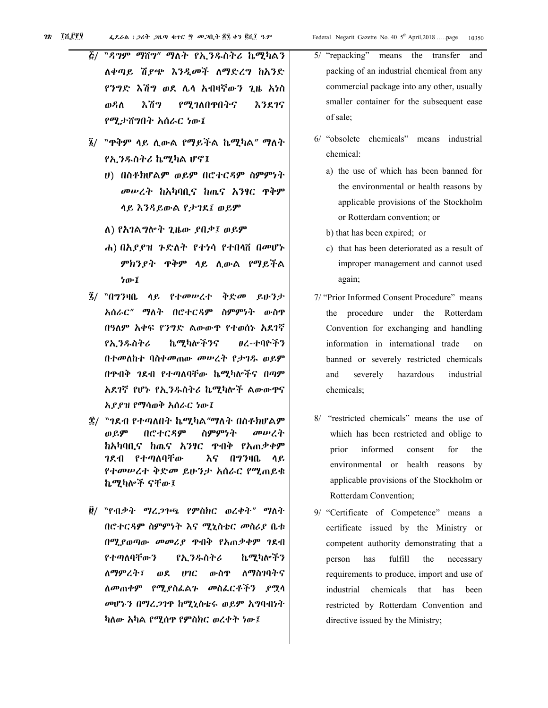- "ዳ*ግም ማ*ሽግ" ማለት የኢንዱስትሪ ኬሚካልን  $\bar{c}$ / ለቀጣይ ሽያጭ እንዲመች ለማድረግ ከአንድ የንግድ እሽግ ወደ ሌላ አብዛኛውን ጊዜ አነስ የሚገለበዋበትና ወዳስ እሽግ እንደ1ና የሚታሽግበት አሰራር ነው፤
- ፯/ "ዋቅም ላይ ሲውል የማይችል ኬሚካል" ማለት የኢንዱስትሪ ኬሚካል ሆኖ፤
	- υ) በስቶክሆልም ወይም በሮተርዳም ስምምነት መሠረት ከአካባቢና ከጤና አንፃር ዋቅም ላይ እንዳይውል የታገደ፤ ወይም
	- ለ) የአገልግሎት ጊዜው ደበቃ፤ ወይም
	- ሐ) በኢደደዝ ጉድለት የተነሳ የተበሳሽ በመሆኑ ምክንያተ ዋቅም ላይ ሲውል የማይችል ነው፤
- ፯/ "በግንዛቤ ላይ የተመሠረተ ቅድመ ይሁንታ አሰራር" ማለት በሮተርዳም ስምምነት ውስዋ በዓለም አቀፍ የንግድ ልውውዋ የተወሰኑ አደገኛ የኢንዱስትሪ ኬሚካሎችንና ፀረ-ተባዮችን በተመለከተ ባስቀመጠው መሠረት የታገዱ ወይም በዋብቅ ገደብ የተጣለባቸው ኬሚካሎችና በጣም አደገኛ የሆኑ የኢንዱስትሪ ኬሚካሎች ልውውዋና አደደዝ የማሳወቅ አሰራር ነው፤
- ፰/ "ገደብ የተጣለበት ኬሚካል"ማለት በስቶክሆልም ወይም በሮተርዳም ስምምነት መሠረት ከአካባቢና ከጤና አንፃር ዋብቅ የአጠቃቀም *ገ*ደብ የተጣለባቸው እና በግንዛቤ ላይ የተመሠረተ ቅድመ ይሁንታ አሰራር የሚጠይቁ ኬሚካሎች ናቸው፤
- ፱/ ``የብቃት ማረጋገጫ የምስክር ወረቀት" ማለት በሮተርዳም ስምምነት እና ሚኒስቴር መስሪያ ቤቱ በሚያወጣው መመሪያ ዋብቅ የአጠቃቀም ገደብ የተጣለባቸውን የኢንዱስትሪ ኬሚካሎችን ለማምረት፣ ወደ ሀገር ውስዋ ለማስገባትና ለመጠቀም የሚያስፌልጉ መስፌርቶችን ያሟላ መሆኑን በማረ.ጋገዋ ከሚኒስቴሩ ወይም አግባብነት ካለው አካል የሚሰዋ የምስክር ወረቀት ነው፤
- 5/ "repacking" means the transfer and packing of an industrial chemical from any commercial package into any other, usually smaller container for the subsequent ease of sale;
- 6/ "obsolete chemicals" means industrial chemical:
	- a) the use of which has been banned for the environmental or health reasons by applicable provisions of the Stockholm or Rotterdam convention; or
	- b) that has been expired; or
	- c) that has been deteriorated as a result of improper management and cannot used again;
- 7/ "Prior Informed Consent Procedure" means the procedure under the Rotterdam Convention for exchanging and handling information in international trade  $\Omega$ banned or severely restricted chemicals and severely hazardous industrial chemicals:
- 8/ "restricted chemicals" means the use of which has been restricted and oblige to for prior informed consent the environmental or health reasons by applicable provisions of the Stockholm or Rotterdam Convention;
- 9/ "Certificate of Competence" means a certificate issued by the Ministry or competent authority demonstrating that a person has fulfill the necessary requirements to produce, import and use of industrial chemicals that has been restricted by Rotterdam Convention and directive issued by the Ministry;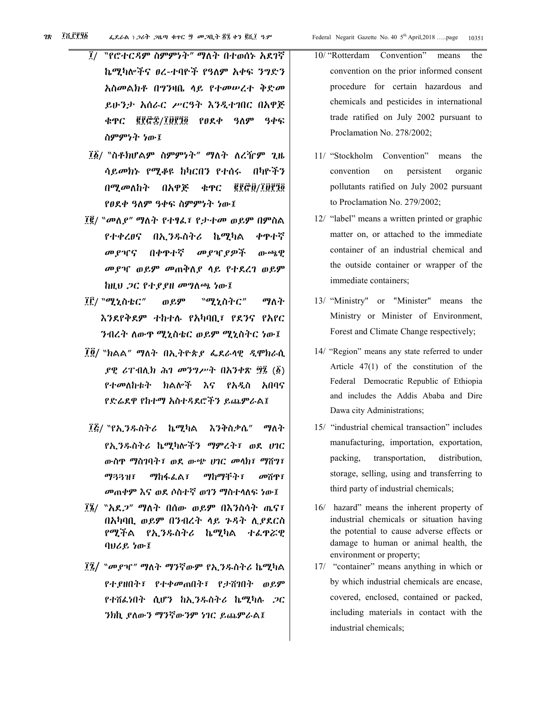- "የሮተርዳም ስምምነት" ማለት በተወሰኑ አደገኛ  $\overline{l}$ ኬሚካሎችና ፀረ-ተባዮች የዓለም አቀፍ ንግድን አስመልክቶ በግንዛቤ ላይ የተመሠረተ ቅድመ ይሁንታ አሰራር ሥርዓት እንዲተገበር በአዋጅ ቁዋር ፪፻፸፰/፲፱፻፺፬ የፀደቀ ዓለም ዓቀፍ ስምምነት ነው፤
- ፲፩/ "ስቶክሆልም ስምምነት" ማለት ለረዥም ጊዜ ሳ*ይመክኑ የሚቆ*ዩ ከካርበን የተሰሩ በካዮችን በ**ሚ**መለከት በአዋጅ **¢TC ER&B/TBPAG** የፀደቀ ዓለም ዓቀፍ ስምምነት ነው፤
- ፲፪/ "መለ*ያ" ግ*ለት የተፃፈ፣ የታተመ ወይም በምስል የተቀረፀና በኢንዱስትሪ ኬሚካል ቀዋተኛ መያዣና በቀዋተኛ መያዣያዎች  $\mathbf{0}$ .  $\epsilon$ <sub>D</sub>,  $\mathbf{P}$ *መያዣ ወይም መ*ጠቅስ*ያ* ሳይ የተደረገ ወይም ከዚህ *ጋ*ር የተ*ያያዘ መግ*ለጫ ነው፤
- ፲፫/ "ሚኒስቴር" ወይም "ሚኒስትር" ማስት እንደየቅደም ተከተሉ የአካባቢ፣ የደንና የአየር ንብረት ለውዋ ሚኒስቴር ወይም ሚኒስትር ነው፤
- ፲፬/ "ክልል" ማለት በኢትዮጵያ ፌደራሳዊ ዲሞክራሲ ያዊ ሪፐብሊክ ሕገ መንግሥት በእንቀጽ ፵፯ (፩) የተመለከቱት ክልሎች እና የአዲስ አበባና የድሬደዋ የከተማ አስተዳደሮችን ይጨምራል፤
- ፲፭/ "የኢንዱስትሪ ኬሚካል እንቅስቃሴ" ማለት የኢንዱስትሪ ኬሚካሎችን ማምረት፣ ወደ ሀገር ውስዋ ማስገባት፣ ወደ ውጭ ሀገር መላክ፣ ማሽግ፣ ማጓጓዝ፣ ማከፋፌል፣ ማከማችት፣ መሽዋ፣ መጠቀም እና ወደ ሶስተኛ ወገን ማስተሳለፍ ነው፤
- በአካባቢ ወይም በንብረት ላይ ጉዳት ሲያደርስ የሚችል የኢንዱስትሪ ኬሚካል ተፈዋሯዊ ባህሪይ ነው፤
- ፲፯/ "መያዣ" ማለት ማንኛውም የኢንዱስትሪ ኬሚካል የተያዘበት፣ የተቀመጠበት፣ የታሸገበት ወይም የተሸፌነበት ሲሆን ከኢንዱስትሪ ኬሚካሉ ጋር ንክኪ ያለውን ማንኛውንም ነገር ይጨምራል፤
- 10/ "Rotterdam Convention" the means convention on the prior informed consent procedure for certain hazardous and chemicals and pesticides in international trade ratified on July 2002 pursuant to Proclamation No. 278/2002;
- 11/ "Stockholm Convention" means the convention on persistent organic pollutants ratified on July 2002 pursuant to Proclamation No. 279/2002;
- 12/ "label" means a written printed or graphic matter on, or attached to the immediate container of an industrial chemical and the outside container or wrapper of the immediate containers;
- 13/ "Ministry" or "Minister" means the Ministry or Minister of Environment, Forest and Climate Change respectively;
- 14/ "Region" means any state referred to under Article  $47(1)$  of the constitution of the Federal Democratic Republic of Ethiopia and includes the Addis Ababa and Dire Dawa city Administrations;
- 15/ "industrial chemical transaction" includes manufacturing, importation, exportation, packing, transportation, distribution, storage, selling, using and transferring to third party of industrial chemicals;
- 16/ hazard" means the inherent property of industrial chemicals or situation having the potential to cause adverse effects or damage to human or animal health, the environment or property;
- 17/ "container" means anything in which or by which industrial chemicals are encase, covered, enclosed, contained or packed, including materials in contact with the industrial chemicals;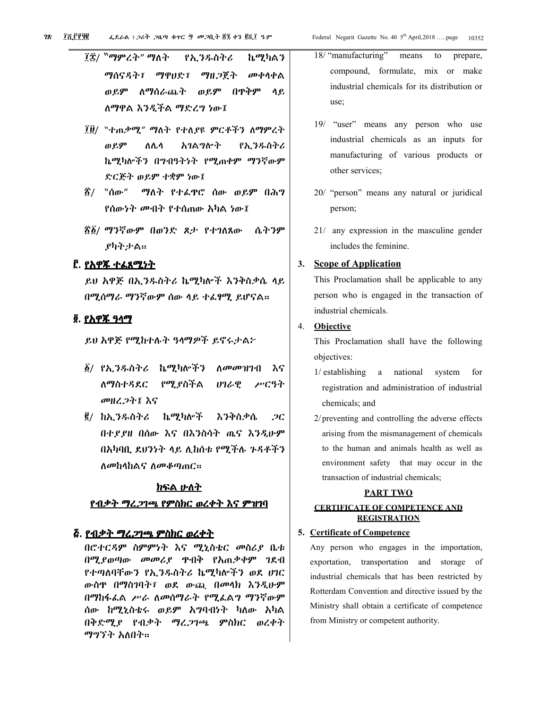- ፲፱/ "ተጠ*ቃሚ" ማ*ስት የተለያዩ ምርቶችን ስማምረት አገልግሎት ወይም ለሌሳ የኢንዱስትሪ ኬሚካሎችን በማብዓትነት የሚጠቀም ማንኛውም ድርጅት ወይም ተቋም ነው፤
- <u>፳/ "ሰው"</u> ማለት የተፌዋሮ ሰው ወይም በሕግ የሰውነት መብት የተሰጠው አካል ነው፤
- ፳፩/ ማንኛውም በወንድ ጾታ የተገለጸው ሴትንም *ያካትታ*ል።

#### ፫. <u>የአዋጁ ተፌጸሚነተ</u>

ይሀ አዋጅ በኢንዱስትሪ ኬሚካሎች እንቅስቃሴ ላይ በሚሰማራ ማንኛውም ሰው ላይ ተፈፃሚ ይሆናል።

#### <u>፬. የአዋጁ ዓላማ</u>

ይሀ አዋጅ የሚከተሉት ዓላማዎች ይኖሩታል፦

- ፩/ የኢ*ንዱ*ስትሪ ኬሚካሎችን *ስመመዝገ*ብ እና ስማስተዳደር የሚያስችል **UI&Q** ሥርዓት መዘረጋት፤ እና
- ፪/ ከኢንዱስትሪ ኬሚካሎች እንቅስቃሴ  $2C$ በተደደዘ በሰው እና በእንስሳት ጤና እንዲሁም በአካባቢ ደሀንነት ላይ ሊከሰቱ የሚችሉ ጉዳቶችን ለመከላከልና ለመቆጣጠር።

# <u>ክፍል ሁለት</u>

#### <u>የብቃት ማረ*ጋ*ገጫ የምስክር ወረቀት እና ምዝገባ</u>

#### 

በሮተርዳም ስምምነት እና ሚኒስቴር መስሪያ ቤቱ በሚያወጣው መመሪያ ዋብቅ የአጠቃቀም ገደብ የተጣለባቸውን የኢንዱስትሪ ኬሚካሎችን ወደ ሀገር ውስዋ በማስገባት፣ ወደ ውጪ በመላክ እንዲሁም በማከፋፌል ሥራ ለመሰማራት የሚፌልግ ማንኛውም ሰው ከሚኒስቴሩ ወይም አግባብነት ካለው አካል በቅድሚያ የብቃት ማረጋገጫ ምስክር ወረቀት ማግኘት አለበት።

- 18/ "manufacturing" means to prepare, compound, formulate, mix or make industrial chemicals for its distribution or use:
- 19/ "user" means any person who use industrial chemicals as an inputs for manufacturing of various products or other services:
- 20/ "person" means any natural or juridical person;
- 21/ any expression in the masculine gender includes the feminine.

#### **Scope of Application**  $3.$

This Proclamation shall be applicable to any person who is engaged in the transaction of industrial chemicals.

#### 4. Objective

This Proclamation shall have the following objectives:

- 1/ establishing a national system for registration and administration of industrial chemicals; and
- 2/ preventing and controlling the adverse effects arising from the mismanagement of chemicals to the human and animals health as well as environment safety that may occur in the transaction of industrial chemicals;

#### **PART TWO**

#### **CERTIFICATE OF COMPETENCE AND REGISTRATION**

#### 5. Certificate of Competence

Any person who engages in the importation, exportation, transportation and storage of industrial chemicals that has been restricted by Rotterdam Convention and directive issued by the Ministry shall obtain a certificate of competence from Ministry or competent authority.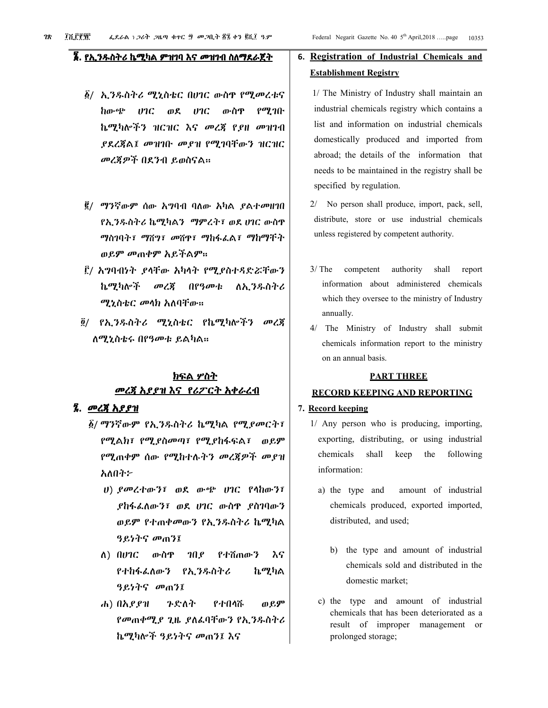# <u> ፮. የኢ*ንዱ*ስትሪ ኬሚካል ምዝገባ እና *መ*ዝገብ ስለማደራጀት</u>

- ፩/ ኢንዱስትሪ ሚኒስቴር በሀገር ውስዋ የሚመረቱና ከውጭ  $07C$   $08$  $17C$ ውስዋ  $\rho$ ማ ገቡ ኬሚካሎችን ዝርዝር እና መረጀ የደዘ መዝገብ ያደረጃል፤ መዝገቡ መያዝ የሚገባቸውን ዝርዝር መረጀዎች በደንብ ይወስናል።
- ፪/ ማንኛውም ሰው አግባብ ባለው አካል ደልተመዘገበ የኢንዱስትሪ ኬሚካልን ማምረት፣ ወደ ሀገር ውስዋ ማስገባት፣ ማሽግ፣ መሽዋ፣ ማከፋፌል፣ ማከማችት ወይም መጠቀም አይችልም።
- ፫/ አግባብነት ያላቸው አካላት የሚያስተዳድሯቸውን ኬሚካሎች መረጀ በየዓመቱ ለኢንዱስትሪ ሚኒስቴር መላክ አለባቸው።
- ፬/ የኢንዱስትሪ ሚኒስቴር የኬሚካሎችን መረጃ ለሚኒስቴሩ በየዓመቱ ይልካል።

# <u>ክፍል ሦስት</u> <u>መረጃ አያያዝ እና የሪፖርት አቀራረብ</u>

#### ፯. መረጃ አያያዝ

- ፩/ ማንኛውም የኢንዱስትሪ ኬሚካል የሚ*ያመ*ርት፣ የሚልክ፣ የሚያስመጣ፣ የሚያከፋፍል፣ ወይም የሚጠቀም ሰው የሚከተሉትን መረጃዎች መያዝ አለበት፦
	- $U$ ) ያመረተውን፤ ወደ ውጭ ሀገር የሳከውን፤ *ያከፋፌ*ለውን፣ ወደ ሀገር ውስዋ *ያስገ*ባውን ወይም የተጠቀመውን የኢንዱስትሪ ኬሚካል ዓይነትና መጠን፤
	- $\Lambda$ )  $\Omega$ *vic* ውስዋ IN P የተሽጠውን እና የተከፋፌለውን የኢንዱስትሪ ኬሚካል ዓይነትና መጠን፤
	- ወይም ሐ) በአይያዝ ንድለት የተበሳሹ የመጠቀሚያ ጊዜ ያለፌባቸውን የኢንዱስትሪ ኬሚካሎች ዓይነትና መጠን፤ እና

# 6. Registration of Industrial Chemicals and **Establishment Registry**

- 1/ The Ministry of Industry shall maintain an industrial chemicals registry which contains a list and information on industrial chemicals domestically produced and imported from abroad; the details of the information that needs to be maintained in the registry shall be specified by regulation.
- 2/ No person shall produce, import, pack, sell, distribute, store or use industrial chemicals unless registered by competent authority.
- $3/$  The competent authority shall report information about administered chemicals which they oversee to the ministry of Industry annually.
- 4/ The Ministry of Industry shall submit chemicals information report to the ministry on an annual basis.

#### **PART THREE**

### **RECORD KEEPING AND REPORTING**

#### 7. Record keeping

- 1/ Any person who is producing, importing, exporting, distributing, or using industrial chemicals shall keep the following information:
	- amount of industrial a) the type and chemicals produced, exported imported, distributed, and used;
		- b) the type and amount of industrial chemicals sold and distributed in the domestic market;
	- c) the type and amount of industrial chemicals that has been deteriorated as a result of improper management or prolonged storage;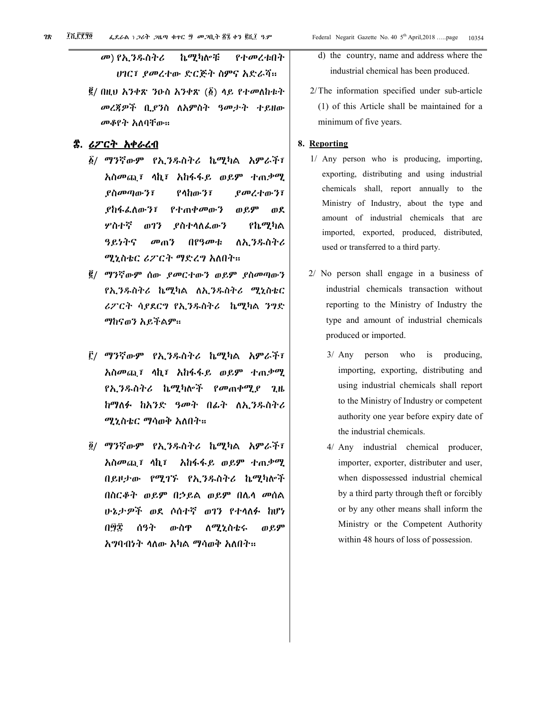- መ) የኢንዱስትሪ ኬሚካሎቹ የተመረቱበት ሀገር፣ ያመረተው ድርጅት ስምና አድራሻ።
- $\vec{g}/$  በዚህ አንቀጽ ንዑስ አንቀጽ ( $\vec{g}$ ) ላይ የተመለከቱት መረጃዎች ቢያንስ ለአምስት ዓመታት ተይዘው መቆየት አለባቸው።

#### ጅ. *ሪፖርት አቀራረ*ብ

- ፩/ ማንኛውም የኢንዱስትሪ ኬሚካል አምራች፣ አስመጪ፤ ሳኪ፤ አከፋፋይ ወይም ተጠቃሚ ያስመጣውን፣  $P$   $h$  $m$  $T$ ያመረተውን፤ *ያከ*ፋፌለውን፣ የተጠቀመውን ወይም ወደ ሦስተኛ ወገን የኬሚካል **ይስተሳለፌውን** ዓይነትና  $\omega_0$ በየዓመቱ ለኢንዱስትሪ ሚኒስቴር ሪፖርት ማድረግ አለበተ።
- ፪/ ማንኛውም ሰው ያመርተውን ወይም ያስመጣውን የኢንዱስትሪ ኬሚካል ለኢንዱስትሪ ሚኒስቴር ሪፖርት ሳያደርግ የኢንዱስትሪ ከሚካል ንግድ ማከናወን አይችልም።
- ፫/ ማንኛውም የኢንዱስትሪ ኬሚካል አምራች፣ *እስመ*ጪ፣ ሳኪ፣ *እከ*ፋፋይ ወይም ተጠ*ቃሚ የኢንዱስትሪ ኬሚካ*ሎች *የመ*ጠቀሚያ ጊዜ ከማለፉ ከአንድ ዓመት በፊት ለኢንዱስትሪ ሚኒስቴር ማሳወቅ አለበት።
- ፬/ ማንኛውም የኢንዱስትሪ ኬሚካል አምራች፣ አስመጪ፤ ላኪ፤ አከፋፋይ ወይም ተጠቃሚ በይዞታው የሚገኙ የኢንዱስትሪ ኬሚካሎች በስርቆት ወይም በኃይል ወይም በሌላ መሰል ሁኔታዎች ወደ ሶስተኛ ወገን የተላለፉ ከሆነ ውስዋ ወይም በ፵፰ ሰዓት <u>ለሚኒስቴሩ</u> አግባብነት ሳለው አካል ማሳወቅ አለበት።
- d) the country, name and address where the industrial chemical has been produced.
- 2/The information specified under sub-article (1) of this Article shall be maintained for a minimum of five years.

#### 8. Reporting

- 1/ Any person who is producing, importing, exporting, distributing and using industrial chemicals shall, report annually to the Ministry of Industry, about the type and amount of industrial chemicals that are imported, exported, produced, distributed, used or transferred to a third party.
- 2/ No person shall engage in a business of industrial chemicals transaction without reporting to the Ministry of Industry the type and amount of industrial chemicals produced or imported.
	- 3/ Any person who is producing, importing, exporting, distributing and using industrial chemicals shall report to the Ministry of Industry or competent authority one year before expiry date of the industrial chemicals.
	- 4/ Any industrial chemical producer, importer, exporter, distributer and user, when dispossessed industrial chemical by a third party through theft or forcibly or by any other means shall inform the Ministry or the Competent Authority within 48 hours of loss of possession.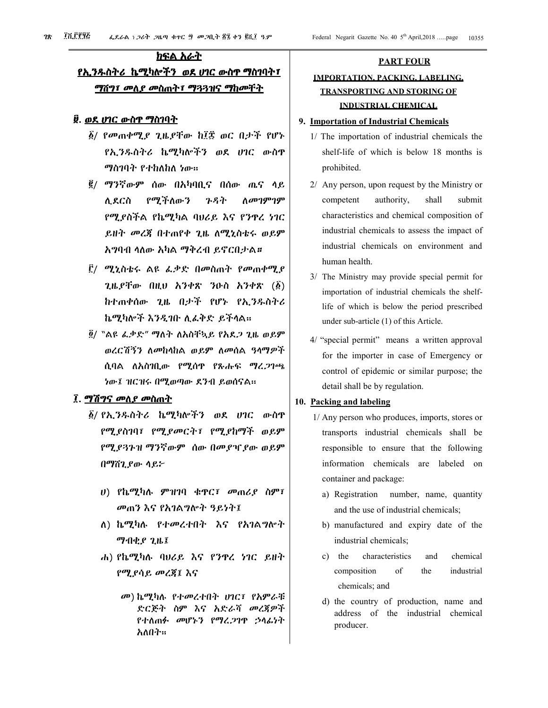# ክፍል አራት <u>የኢንዱስትሪ ኬሚካሎችን ወደ ሀገር ውስዋ ማስገባት፣</u> <u>ማሽግ፣ መለያ መስጠት፣ ማጓጓዝና ማከመቸት</u>

#### <u>፱. ወደ ሀገር ውስዋ ማስገባት</u>

- ፩/ የመጠቀሚ*ያ ጊ*ዜያቸው ከ፲፰ ወር በታች የሆኑ የኢንዱስትሪ ኬሚካሎችን ወደ ሀገር ውስዋ ማስገባት የተከለከለ ነው።
- ፪/ ማንኛውም ሰው በአካባቢና በሰው ጤና ላይ ሲደርስ የሚችለውን ንዳት ስመገምገም የሚያስችል የኬሚካል ባሀሪይ እና የንዋረ ነገር ይዘት መረጀ በተጠየቀ ጊዜ ስሚኒስቴሩ ወይም አግባብ ሳለው አካል ማቅረብ ይኖርበታል።
- ፫/ ሚኒስቴሩ ልዩ ፌቃድ በመስጠት የመጠቀሚ*ያ* ጊዜይቸው በዚህ አንቀጽ ንዑስ አንቀጽ (፩) ከተጠቀሰው ጊዜ በታች የሆኑ የኢንዱስትሪ ኬሚካሎች እንዲገቡ ሊፌቅድ ይችላል።
- ፬/ "ልዩ ፌቃድ" ማለት ለአስቸኳይ የአደጋ ጊዜ ወይም ወረርሽኝን ለመከላከል ወይም ለመሰል ዓላማዎች ሲባል ለአስገቢው የሚሰዋ የጹሑፍ ማረ*ጋ*ገጫ ነው፤ ዝርዝሩ በሚወጣው ደንብ ይወሰናል።

#### ፲. <u>ማሽግና መለ*ያ መ*ስጠት</u>

- ፩/ የኢ*ንዱ*ስትሪ ኬሚካሎችን ወደ ሀገር ውስዋ የሚያስገባ፣ የሚያመርት፣ የሚያከማች ወይም የሚያጓጉዝ ማንኛውም ሰው በመያዣያው ወይም በማሽጊያው ሳይ፦
	- ሀ) የኬሚካሉ ምዝገባ ቁዋር፣ መጠሪያ ስም፣ መጠን እና የአገልግሎት ዓይነት፤
	- ለ) ኬሚካሉ የተመረተበተ እና የአገልግሎት **ማብቂያ ጊዜ፤**
	- ሐ) የኬሚካሉ ባሀሪይ እና የንዋረ ነገር ይዘት የሚያሳይ መረጃ፤ እና
		- መ) ኬሚካሉ የተመረተበት ሀገር፤ የአምራቹ ድርጅት ስም እና አድራሻ መረጃዎች የተለጠፉ መሆኑን የማረጋገዋ ኃላፊነት አለበት።

# **PART FOUR IMPORTATION, PACKING, LABELING. TRANSPORTING AND STORING OF INDUSTRIAL CHEMICAL**

#### 9. Importation of Industrial Chemicals

- 1/ The importation of industrial chemicals the shelf-life of which is below 18 months is prohibited.
- 2/ Any person, upon request by the Ministry or competent authority. shall submit characteristics and chemical composition of industrial chemicals to assess the impact of industrial chemicals on environment and human health.
- 3/ The Ministry may provide special permit for importation of industrial chemicals the shelflife of which is below the period prescribed under sub-article (1) of this Article.
- 4/ "special permit" means a written approval for the importer in case of Emergency or control of epidemic or similar purpose; the detail shall be by regulation.

#### 10. Packing and labeling

- 1/ Any person who produces, imports, stores or transports industrial chemicals shall be responsible to ensure that the following information chemicals are labeled on container and package:
	- a) Registration number, name, quantity and the use of industrial chemicals;
	- b) manufactured and expiry date of the industrial chemicals;
	- c) the characteristics chemical and  $\sigma$ f industrial composition the chemicals; and
	- d) the country of production, name and address of the industrial chemical producer.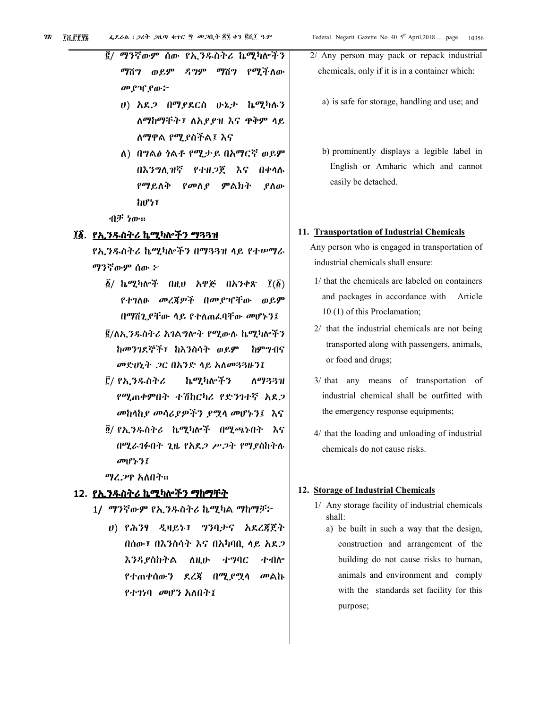- ሀ) አዴ2 በማያደርስ ሁኔታ ኬሚካሉን ለማከማቸት፣ ለአያያዝ እና ዋቅም ላይ ለማዋል የሚያስችል፤ እና
- ለ) በግልፅ ጎልቶ የሚታይ በአማርኛ ወይም በእንግሊዝኛ የተዘ*ጋ*ጀ እና በቀሳሉ የማይለቅ የመለያ ምልክት ያስው わぴって

イルデ ケル・ロ

#### ፲፩. <u>የኢ*ንዱ*ስትሪ ኬሚካሎችን ማጓጓዝ</u>

የኢንዱስትሪ ኬሚካሎችን በማጓጓዝ ላይ የተሥማራ ማንኛውም ሰው ፦

- *፩/* ኬሚካሎች በዚህ አዋጅ በአንቀጽ  $\vec{l}(\vec{\pmb{\beta}})$ የተገለፁ መረጃዎች በመያዣቸው ወይም በማሽጊያቸው ሳይ የተለጠፌባቸው መሆኑን፤
- ፪/ለኢንዱስትሪ አገልግሎት የሚውሉ ኬሚካሎችን ከመንገደኞች፣ ከእንስሳት ወይም ከምግብና መድሆኒት ጋር በአንድ ላይ አለመጓጓዙን፤
- ፫/ የኢንዱስትሪ ኬሚካሎችን <u>ለማ33ዝ</u> የሚጠቀምበት ተሽከርካሪ የድንገተኛ አደ*ጋ* መከላኪያ መሳሪያዎችን ያሟላ መሆኑን፤ እና
- ፬/ የኢንዱስትሪ ኬሚካሎች በሚጫኑበት እና በሚራገፉበት ጊዜ የአዴጋ ሥጋት የማያስከትሉ መሆኑን፤

ማረ.ጋዋ አለበት።

#### 12. <u>የኢንዱስትሪ ኬሚካሎችን ማከማቸት</u>

- 1/ ማንኛውም የኢንዱስትሪ ኬሚካል ማከማቻ፦
	- ሀ) የሕንፃ ዲዛይኑ፣ ግንባታና አደረጃጀት በሰው፣ በእንስሳት እና በአካባቢ ላይ አደ.2 እንዳያስከትል ለዚሁ ተግባር ተብሎ የተጠቀሰውን ደረጃ በሚደሟላ መልኩ የተገነባ መሆን አለበት፤

2/ Any person may pack or repack industrial chemicals, only if it is in a container which:

- a) is safe for storage, handling and use; and
- b) prominently displays a legible label in English or Amharic which and cannot easily be detached.

#### 11. Transportation of Industrial Chemicals

Any person who is engaged in transportation of industrial chemicals shall ensure:

- 1/ that the chemicals are labeled on containers and packages in accordance with Article 10(1) of this Proclamation;
- 2/ that the industrial chemicals are not being transported along with passengers, animals, or food and drugs;
- 3/ that any means of transportation of industrial chemical shall be outfitted with the emergency response equipments;
- 4/ that the loading and unloading of industrial chemicals do not cause risks.

#### 12. Storage of Industrial Chemicals

- 1/ Any storage facility of industrial chemicals shall:
	- a) be built in such a way that the design, construction and arrangement of the building do not cause risks to human, animals and environment and comply with the standards set facility for this purpose;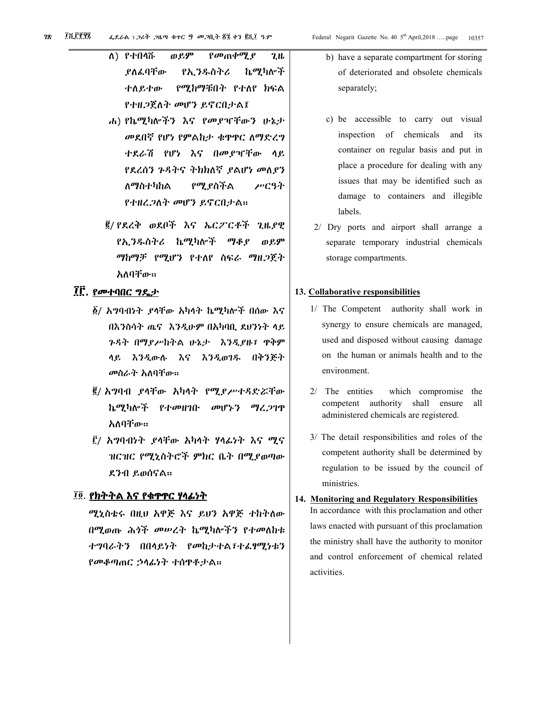- $A)$  *የ* $t$ በሳሹ ወይም  $\rho \omega_0$   $\rho \omega_1$   $\rho$  $2.1<sub>b</sub>$ .የለፌባቸው የኢንዱስትሪ ኬሚካሎች ተለይተው የሚከማቹበት የተለየ ክፍል የተዘጋጀለት መሆን ይኖርበታል፤
- ሐ) የኬሚካሎችን እና የመያዣቸውን ሁኔታ መደበኛ የሆነ የምልከታ ቁዋዋር ለማድረግ ተደራሽ የሆነ እና በመያዣቸው ላይ የደረሰን ጉዳትና ትክክለኛ ያልሆነ መለያን የሚያስችል ለማስተካከል ሥርዓት የተዘረ*ጋ*ለት መሆን ይኖርበታል።
- ፪/ የደረቅ ወደቦች እና ኤርፖርቶች ጊዜያዊ የኢንዱስትሪ ኬሚካሎች ማቆደ ወይም ማከማቻ የሚሆን የተለየ ስፍራ ማዘ*ጋ*ጀት አለባቸው።

# ፲፫. የመተባበር ግዴታ

- ፩/ አግባብነት ያላቸው አካላት ኬሚካሎች በሰው እና በእንስሳት ጤና እንዲሁም በአካባቢ ደሀንነት ላይ ጉዳት በማያሥከተል ሁኔታ እንዲያዙ፣ ዋቅም ላይ እንዲውሉ እና እንዲወገዱ በቅንጅት መስራት አለባቸው።
- ፪/ አግባብ ያላቸው አካላት የሚያሥተዳድሯቸው ኬሚካሎች የተመዘገቡ መሆኑን ማረ.2ገጥ አለባቸው።
- ፫/ አ*ግ*ባብነት የላቸው አካላት ሃላፊነት እና *ሚና* ዝርዝር የሚኒስትሮች ምክር ቤት በሚያወጣው ደንብ ይወሰናል።

#### ፲፬. <u>የክተተል እና የቁዋዋር ሃላፊነተ</u>

ሚኒስቴሩ በዚህ አዋጅ እና ይህን አዋጅ ተከተለው በሚወጡ ሕጎች መሠረት ኬሚካሎችን የተመለከቱ ተግባራትን በበላይነት የመከታተል፣ተልፃሚነቱን የመቆጣጠር ኃሳፊነት ተሰዋቶታል።

- b) have a separate compartment for storing of deteriorated and obsolete chemicals separately;
- c) be accessible to carry out visual inspection of chemicals and its container on regular basis and put in place a procedure for dealing with any issues that may be identified such as damage to containers and illegible labels.
- 2/ Dry ports and airport shall arrange a separate temporary industrial chemicals storage compartments.

#### 13. Collaborative responsibilities

- 1/ The Competent authority shall work in synergy to ensure chemicals are managed, used and disposed without causing damage on the human or animals health and to the environment.
- $2/$  The entities which compromise the competent authority shall ensure all administered chemicals are registered.
- 3/ The detail responsibilities and roles of the competent authority shall be determined by regulation to be issued by the council of ministries.

# 14. Monitoring and Regulatory Responsibilities

In accordance with this proclamation and other laws enacted with pursuant of this proclamation the ministry shall have the authority to monitor and control enforcement of chemical related activities.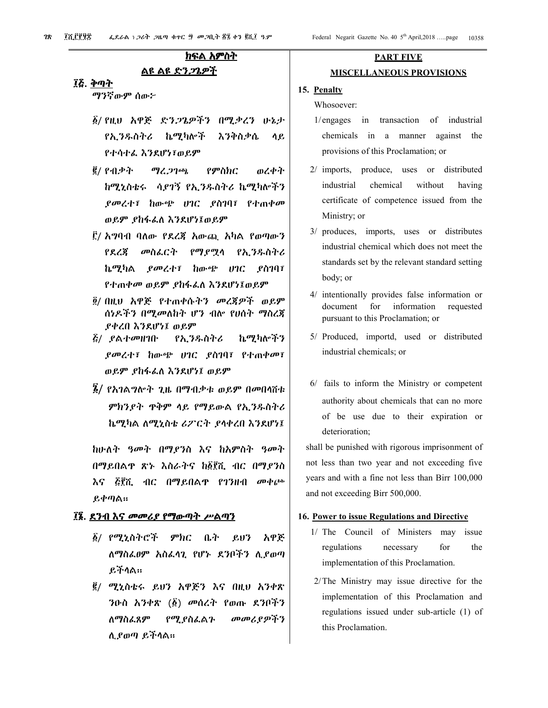# ክፍል አምስት

# ልዩ ልዩ ድን*ጋ*ጌዎች

#### ፲፩. <u>ቅጣት</u>

ማንኛውም ሰው፦

- **δ/ የዚህ አዋጅ ድንጋጌዎችን በሚቃረን ሁኔታ** የኢንዱስትሪ ኬሚካሎች እንቅስቃሴ ሳይ የተሳተፌ እንደሆነ፣ወይም
- ፪/ የብቃት ማረ ጋገጫ የምስክር ወረቀት ከሚኒስቴሩ ሳደገኝ የኢንዱስትሪ ኬሚካሎችን ያመረተ፤ ከውጭ ሀገር ያስገባ፤ የተጠቀመ ወይም ያከፋፌስ እንደሆነ፤ወይም
- ፫/ አግባብ ባለው የደረጃ አውጪ አካል የወጣውን የደረጃ መስፌርት የማደሚሳ የኢንዱስትሪ ኬሚካል *ያመረ*ተ፣ ከውጭ ሀገር ያስገባ፣ የተጠቀመ ወይም ያከፋፌስ እንደሆነ፤ወይም
- ፬/ በዚህ አዋጅ የተጠቀሱትን መረጀዎች ወይም ሰነዶችን በሚመለከት ሆን ብሎ የሀሰት ማስረጃ ያቀረበ እንደሆነ፤ ወይም
- *ξ/ ያ*ልተመዘገቡ የኢንዱስትሪ ኬሚካሎችን *ያመረተ፣ ከ*ውጭ ሀገር *ያስገ*ባ፣ የተጠቀመ፣ ወይም ያከፋፌስ እንደሆነ፤ ወይም
- $\tilde{B}$ / የአገልግሎት ጊዜ በማብቃቱ ወይም በመበሳሽቱ ምክንያት ዋቅም ላይ የማይውል የኢንዱስትሪ ኬሚካል ለሚኒስቴ ሪፖርት ያሳቀረበ እንደሆነ፤

ከሁለት ዓመት በማየንስ እና ከአምስት ዓመት በማይበልዋ ጽኑ እስራትና ከ፩፻ሺ ብር በማይንስ እና ፭፻ሺ ብር በማይበልዋ የገንዘብ መቀጮ ይቀጣል።

#### ፲፮. ደንብ እና መመሪያ የማውጣት ሥልጣን

- δ/ የሚኒስትሮች *ምክር* ቤት  $P_211'2$ አዋጅ ለማስፌፀም አስፌሳጊ የሆኑ ደንቦችን ሊያወጣ ይችላል።
- ፪/ ሚኒስቴሩ ይህን አዋጅን እና በዚህ አንቀጽ ንዑስ አንቀጽ (፩) መሰረት የወጡ ደንቦችን **ለማስፌጸም** የሚያስፌልጉ መመሪያዎችን ሊያወጣ ይችላል።

# **PART FIVE MISCELLANEOUS PROVISIONS**

#### 15. Penalty

Whosoever:

- in transaction of industrial  $1/$ engages chemicals in a manner against the provisions of this Proclamation; or
- $2/$  imports, produce, uses or distributed industrial chemical without having certificate of competence issued from the Ministry; or
- 3/ produces, imports, uses or distributes industrial chemical which does not meet the standards set by the relevant standard setting body; or
- 4/ intentionally provides false information or for information document requested pursuant to this Proclamation; or
- 5/ Produced, importd, used or distributed industrial chemicals; or
- 6/ fails to inform the Ministry or competent authority about chemicals that can no more of be use due to their expiration or deterioration;

shall be punished with rigorous imprisonment of not less than two year and not exceeding five years and with a fine not less than Birr 100,000 and not exceeding Birr 500,000.

#### 16. Power to issue Regulations and Directive

- 1/ The Council of Ministers may issue regulations necessary for the implementation of this Proclamation.
- 2/The Ministry may issue directive for the implementation of this Proclamation and regulations issued under sub-article (1) of this Proclamation.